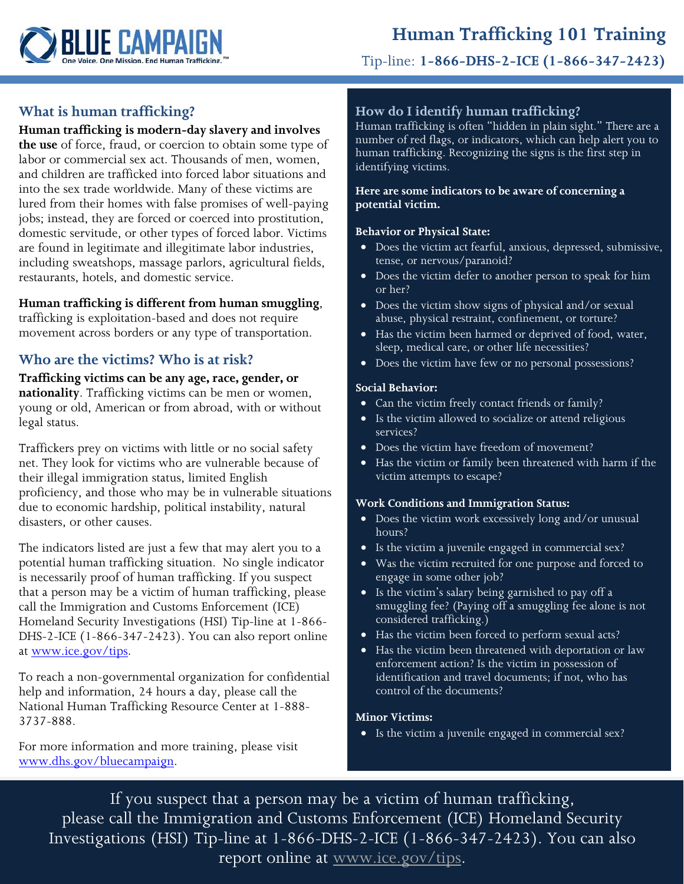

Tip-line: **1-866-DHS-2-ICE (1-866-347-2423)**

# **What is human trafficking?**

### **Human trafficking is modern-day slavery and involves**

**the use** of force, fraud, or coercion to obtain some type of labor or commercial sex act. Thousands of men, women, and children are trafficked into forced labor situations and into the sex trade worldwide. Many of these victims are lured from their homes with false promises of well-paying jobs; instead, they are forced or coerced into prostitution, domestic servitude, or other types of forced labor. Victims are found in legitimate and illegitimate labor industries, including sweatshops, massage parlors, agricultural fields, restaurants, hotels, and domestic service.

## **Human trafficking is different from human smuggling**,

trafficking is exploitation-based and does not require movement across borders or any type of transportation.

# **Who are the victims? Who is at risk?**

**Trafficking victims can be any age, race, gender, or nationality**. Trafficking victims can be men or women, young or old, American or from abroad, with or without legal status.

Traffickers prey on victims with little or no social safety net. They look for victims who are vulnerable because of their illegal immigration status, limited English proficiency, and those who may be in vulnerable situations due to economic hardship, political instability, natural disasters, or other causes.

The indicators listed are just a few that may alert you to a potential human trafficking situation. No single indicator is necessarily proof of human trafficking. If you suspect that a person may be a victim of human trafficking, please call the Immigration and Customs Enforcement (ICE) Homeland Security Investigations (HSI) Tip-line at 1-866- DHS-2-ICE (1-866-347-2423). You can also report online at [www.ice.gov/tips.](http://www.ice.gov/tips)

To reach a non-governmental organization for confidential help and information, 24 hours a day, please call the National Human Trafficking Resource Center at 1-888- 3737-888.

For more information and more training, please visit [www.dhs.gov/bluecampaign.](http://www.dhs.gov/bluecampaign)

## **How do I identify human trafficking?**

Human trafficking is often "hidden in plain sight." There are a number of red flags, or indicators, which can help alert you to human trafficking. Recognizing the signs is the first step in identifying victims.

#### **Here are some indicators to be aware of concerning a potential victim.**

#### **Behavior or Physical State:**

- Does the victim act fearful, anxious, depressed, submissive, tense, or nervous/paranoid?
- Does the victim defer to another person to speak for him or her?
- Does the victim show signs of physical and/or sexual abuse, physical restraint, confinement, or torture?
- Has the victim been harmed or deprived of food, water, sleep, medical care, or other life necessities?
- Does the victim have few or no personal possessions?

#### **Social Behavior:**

- Can the victim freely contact friends or family?
- Is the victim allowed to socialize or attend religious services?
- Does the victim have freedom of movement?
- Has the victim or family been threatened with harm if the victim attempts to escape?

### **Work Conditions and Immigration Status:**

- Does the victim work excessively long and/or unusual hours?
- Is the victim a juvenile engaged in commercial sex?
- Was the victim recruited for one purpose and forced to engage in some other job?
- Is the victim's salary being garnished to pay off a smuggling fee? (Paying off a smuggling fee alone is not considered trafficking.)
- Has the victim been forced to perform sexual acts?
- Has the victim been threatened with deportation or law enforcement action? Is the victim in possession of identification and travel documents; if not, who has control of the documents?

### **Minor Victims:**

• Is the victim a juvenile engaged in commercial sex?

If you suspect that a person may be a victim of human trafficking, please call the Immigration and Customs Enforcement (ICE) Homeland Security Investigations (HSI) Tip-line at 1-866-DHS-2-ICE (1-866-347-2423). You can also report online at [www.ice.gov/tips.](http://www.ice.gov/tips)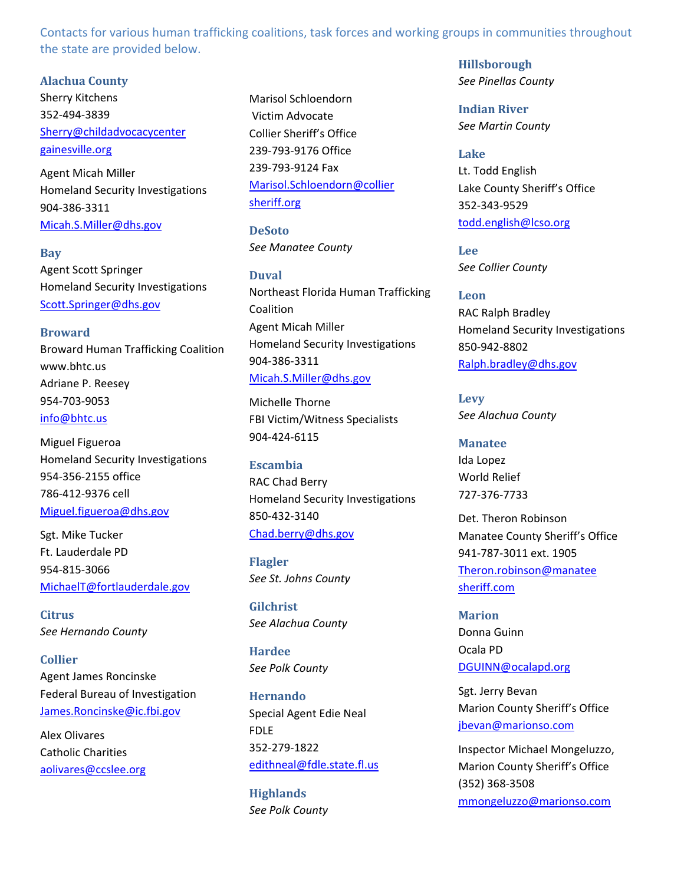Contacts for various human trafficking coalitions, task forces and working groups in communities throughout the state are provided below.

**Alachua County**

Sherry Kitchens 352‐494‐3839 Sherry@childadvocacycenter gainesville.org

Agent Micah Miller Homeland Security Investigations 904‐386‐3311 Micah.S.Miller@dhs.gov

**Bay** Agent Scott Springer Homeland Security Investigations Scott.Springer@dhs.gov

**Broward** Broward Human Trafficking Coalition www.bhtc.us Adriane P. Reesey 954‐703‐9053 info@bhtc.us

Miguel Figueroa Homeland Security Investigations 954‐356‐2155 office 786‐412‐9376 cell Miguel.figueroa@dhs.gov

Sgt. Mike Tucker Ft. Lauderdale PD 954‐815‐3066 MichaelT@fortlauderdale.gov

**Citrus** *See Hernando County*

**Collier** Agent James Roncinske Federal Bureau of Investigation James.Roncinske@ic.fbi.gov

Alex Olivares Catholic Charities aolivares@ccslee.org Marisol Schloendorn Victim Advocate Collier Sheriff's Office 239‐793‐9176 Office 239‐793‐9124 Fax Marisol.Schloendorn@collier sheriff.org

**DeSoto** *See Manatee County*

**Duval** Northeast Florida Human Trafficking Coalition Agent Micah Miller Homeland Security Investigations 904‐386‐3311 Micah.S.Miller@dhs.gov

Michelle Thorne FBI Victim/Witness Specialists 904‐424‐6115

**Escambia** RAC Chad Berry Homeland Security Investigations 850‐432‐3140 Chad.berry@dhs.gov

**Flagler** *See St. Johns County* 

**Gilchrist** *See Alachua County*

**Hardee** *See Polk County*

**Hernando** Special Agent Edie Neal FDLE 352‐279‐1822 edithneal@fdle.state.fl.us

**Highlands** *See Polk County* **Hillsborough** *See Pinellas County*

**Indian River** *See Martin County* 

**Lake** Lt. Todd English Lake County Sheriff's Office 352‐343‐9529 todd.english@lcso.org

**Lee** *See Collier County*

**Leon** RAC Ralph Bradley Homeland Security Investigations 850‐942‐8802 Ralph.bradley@dhs.gov

**Levy** *See Alachua County* 

**Manatee** Ida Lopez World Relief 727‐376‐7733

Det. Theron Robinson Manatee County Sheriff's Office 941‐787‐3011 ext. 1905 Theron.robinson@manatee sheriff.com

**Marion** Donna Guinn Ocala PD DGUINN@ocalapd.org

Sgt. Jerry Bevan Marion County Sheriff's Office jbevan@marionso.com

Inspector Michael Mongeluzzo, Marion County Sheriff's Office (352) 368‐3508 mmongeluzzo@marionso.com